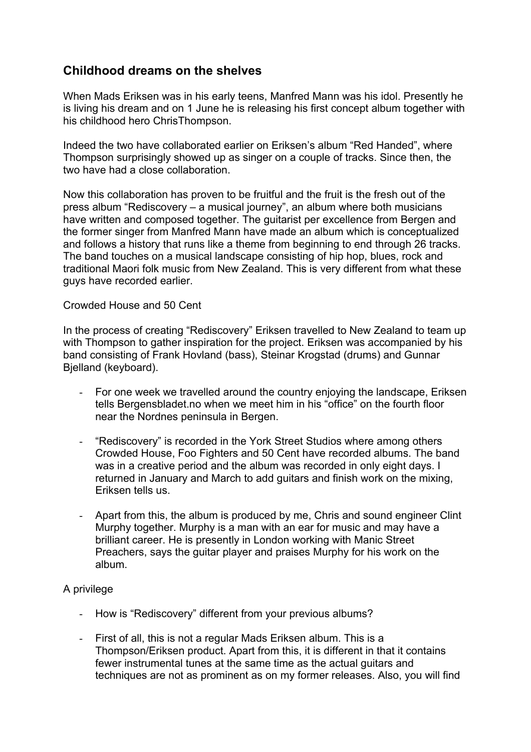# **Childhood dreams on the shelves**

When Mads Eriksen was in his early teens, Manfred Mann was his idol. Presently he is living his dream and on 1 June he is releasing his first concept album together with his childhood hero ChrisThompson.

Indeed the two have collaborated earlier on Eriksen's album "Red Handed", where Thompson surprisingly showed up as singer on a couple of tracks. Since then, the two have had a close collaboration.

Now this collaboration has proven to be fruitful and the fruit is the fresh out of the press album "Rediscovery – a musical journey", an album where both musicians have written and composed together. The guitarist per excellence from Bergen and the former singer from Manfred Mann have made an album which is conceptualized and follows a history that runs like a theme from beginning to end through 26 tracks. The band touches on a musical landscape consisting of hip hop, blues, rock and traditional Maori folk music from New Zealand. This is very different from what these guys have recorded earlier.

## Crowded House and 50 Cent

In the process of creating "Rediscovery" Eriksen travelled to New Zealand to team up with Thompson to gather inspiration for the project. Eriksen was accompanied by his band consisting of Frank Hovland (bass), Steinar Krogstad (drums) and Gunnar Bjelland (keyboard).

- For one week we travelled around the country enjoying the landscape, Eriksen tells Bergensbladet.no when we meet him in his "office" on the fourth floor near the Nordnes peninsula in Bergen.
- "Rediscovery" is recorded in the York Street Studios where among others Crowded House, Foo Fighters and 50 Cent have recorded albums. The band was in a creative period and the album was recorded in only eight days. I returned in January and March to add guitars and finish work on the mixing, Eriksen tells us.
- Apart from this, the album is produced by me, Chris and sound engineer Clint Murphy together. Murphy is a man with an ear for music and may have a brilliant career. He is presently in London working with Manic Street Preachers, says the guitar player and praises Murphy for his work on the album.

## A privilege

- How is "Rediscovery" different from your previous albums?
- First of all, this is not a regular Mads Eriksen album. This is a Thompson/Eriksen product. Apart from this, it is different in that it contains fewer instrumental tunes at the same time as the actual guitars and techniques are not as prominent as on my former releases. Also, you will find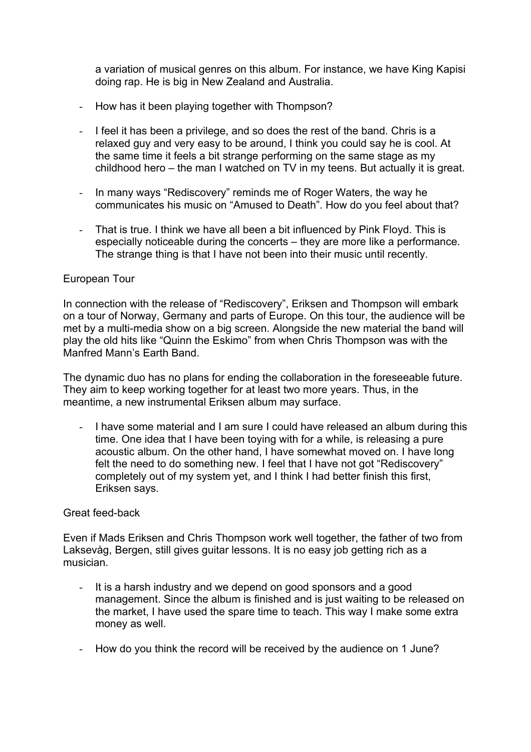a variation of musical genres on this album. For instance, we have King Kapisi doing rap. He is big in New Zealand and Australia.

- How has it been playing together with Thompson?
- I feel it has been a privilege, and so does the rest of the band. Chris is a relaxed guy and very easy to be around, I think you could say he is cool. At the same time it feels a bit strange performing on the same stage as my childhood hero – the man I watched on TV in my teens. But actually it is great.
- In many ways "Rediscovery" reminds me of Roger Waters, the way he communicates his music on "Amused to Death". How do you feel about that?
- That is true. I think we have all been a bit influenced by Pink Floyd. This is especially noticeable during the concerts – they are more like a performance. The strange thing is that I have not been into their music until recently.

## European Tour

In connection with the release of "Rediscovery", Eriksen and Thompson will embark on a tour of Norway, Germany and parts of Europe. On this tour, the audience will be met by a multi-media show on a big screen. Alongside the new material the band will play the old hits like "Quinn the Eskimo" from when Chris Thompson was with the Manfred Mann's Earth Band.

The dynamic duo has no plans for ending the collaboration in the foreseeable future. They aim to keep working together for at least two more years. Thus, in the meantime, a new instrumental Eriksen album may surface.

- I have some material and I am sure I could have released an album during this time. One idea that I have been toying with for a while, is releasing a pure acoustic album. On the other hand, I have somewhat moved on. I have long felt the need to do something new. I feel that I have not got "Rediscovery" completely out of my system yet, and I think I had better finish this first, Eriksen says.

### Great feed-back

Even if Mads Eriksen and Chris Thompson work well together, the father of two from Laksevåg, Bergen, still gives guitar lessons. It is no easy job getting rich as a musician.

- It is a harsh industry and we depend on good sponsors and a good management. Since the album is finished and is just waiting to be released on the market, I have used the spare time to teach. This way I make some extra money as well.
- How do you think the record will be received by the audience on 1 June?